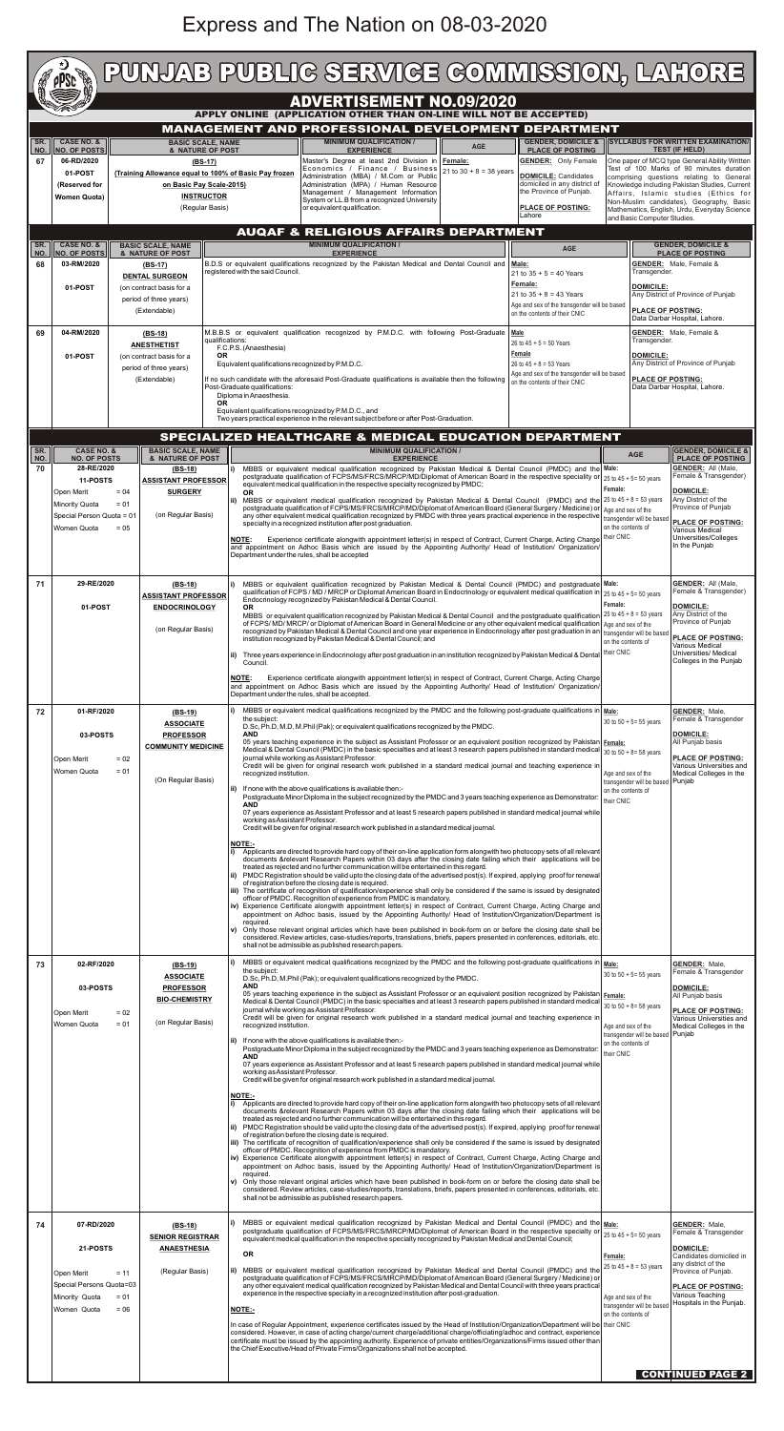## Express and The Nation on 08-03-2020

| SR.<br>NO.<br>67 | <b>CASE NO. &amp;</b><br><b>NO. OF POSTS</b><br>06-RD/2020<br>01-POST<br>(Reserved for<br><b>Women Quota)</b>                                             |                                                                                                                                                                                                                                                                      |                                                                                                                                 |                                                                                                                                                             |                                                                                                                                                                                                                                                                                                                                                                                                                                                                                                                                                                   | <b>ADVERTISEMENT NO.09/2020</b>                                                                                                                                                                                                                                                                                                                                                                                                                                                                                                                                                                                                                                                                                                                                                                                                                                                                                                                                                                                                                                                                                                                                                                                                                                                                                                                                                                                                                                                                                                                                                                                                                                                                                                                                                                                                                                                                                                                                                                                                                                                                                                                                                                                                                                                                                                                                          |                                                                                                                                                                                                                                                                                                                                          |                                                                                                                                                                                                                                                                                                                                                                                                                                                                                                                                                                                                                                                                                                                                                                                                                                                                                                                                                                                                |                                                                                                                                                                                                                                                                                                                                                                                                                                                                                                                                                                                                                                                                                                                                                                                                                                                                                                                                                                                                                                                                                                                                                                                                                                                                                                                                                                                                                                                                                                                                                                                                                                                                                                                                                                           |                                                                                                                                                                                                                                                                                                                                                     |                                                                                                                                                                                                                                                                          |  |  |
|------------------|-----------------------------------------------------------------------------------------------------------------------------------------------------------|----------------------------------------------------------------------------------------------------------------------------------------------------------------------------------------------------------------------------------------------------------------------|---------------------------------------------------------------------------------------------------------------------------------|-------------------------------------------------------------------------------------------------------------------------------------------------------------|-------------------------------------------------------------------------------------------------------------------------------------------------------------------------------------------------------------------------------------------------------------------------------------------------------------------------------------------------------------------------------------------------------------------------------------------------------------------------------------------------------------------------------------------------------------------|--------------------------------------------------------------------------------------------------------------------------------------------------------------------------------------------------------------------------------------------------------------------------------------------------------------------------------------------------------------------------------------------------------------------------------------------------------------------------------------------------------------------------------------------------------------------------------------------------------------------------------------------------------------------------------------------------------------------------------------------------------------------------------------------------------------------------------------------------------------------------------------------------------------------------------------------------------------------------------------------------------------------------------------------------------------------------------------------------------------------------------------------------------------------------------------------------------------------------------------------------------------------------------------------------------------------------------------------------------------------------------------------------------------------------------------------------------------------------------------------------------------------------------------------------------------------------------------------------------------------------------------------------------------------------------------------------------------------------------------------------------------------------------------------------------------------------------------------------------------------------------------------------------------------------------------------------------------------------------------------------------------------------------------------------------------------------------------------------------------------------------------------------------------------------------------------------------------------------------------------------------------------------------------------------------------------------------------------------------------------------|------------------------------------------------------------------------------------------------------------------------------------------------------------------------------------------------------------------------------------------------------------------------------------------------------------------------------------------|------------------------------------------------------------------------------------------------------------------------------------------------------------------------------------------------------------------------------------------------------------------------------------------------------------------------------------------------------------------------------------------------------------------------------------------------------------------------------------------------------------------------------------------------------------------------------------------------------------------------------------------------------------------------------------------------------------------------------------------------------------------------------------------------------------------------------------------------------------------------------------------------------------------------------------------------------------------------------------------------|---------------------------------------------------------------------------------------------------------------------------------------------------------------------------------------------------------------------------------------------------------------------------------------------------------------------------------------------------------------------------------------------------------------------------------------------------------------------------------------------------------------------------------------------------------------------------------------------------------------------------------------------------------------------------------------------------------------------------------------------------------------------------------------------------------------------------------------------------------------------------------------------------------------------------------------------------------------------------------------------------------------------------------------------------------------------------------------------------------------------------------------------------------------------------------------------------------------------------------------------------------------------------------------------------------------------------------------------------------------------------------------------------------------------------------------------------------------------------------------------------------------------------------------------------------------------------------------------------------------------------------------------------------------------------------------------------------------------------------------------------------------------------|-----------------------------------------------------------------------------------------------------------------------------------------------------------------------------------------------------------------------------------------------------------------------------------------------------------------------------------------------------|--------------------------------------------------------------------------------------------------------------------------------------------------------------------------------------------------------------------------------------------------------------------------|--|--|
|                  |                                                                                                                                                           |                                                                                                                                                                                                                                                                      |                                                                                                                                 |                                                                                                                                                             |                                                                                                                                                                                                                                                                                                                                                                                                                                                                                                                                                                   |                                                                                                                                                                                                                                                                                                                                                                                                                                                                                                                                                                                                                                                                                                                                                                                                                                                                                                                                                                                                                                                                                                                                                                                                                                                                                                                                                                                                                                                                                                                                                                                                                                                                                                                                                                                                                                                                                                                                                                                                                                                                                                                                                                                                                                                                                                                                                                          |                                                                                                                                                                                                                                                                                                                                          |                                                                                                                                                                                                                                                                                                                                                                                                                                                                                                                                                                                                                                                                                                                                                                                                                                                                                                                                                                                                | APPLY ONLINE (APPLICATION OTHER THAN ON-LINE WILL NOT BE ACCEPTED)                                                                                                                                                                                                                                                                                                                                                                                                                                                                                                                                                                                                                                                                                                                                                                                                                                                                                                                                                                                                                                                                                                                                                                                                                                                                                                                                                                                                                                                                                                                                                                                                                                                                                                        |                                                                                                                                                                                                                                                                                                                                                     |                                                                                                                                                                                                                                                                          |  |  |
|                  |                                                                                                                                                           |                                                                                                                                                                                                                                                                      | <b>BASIC SCALE, NAME</b>                                                                                                        |                                                                                                                                                             |                                                                                                                                                                                                                                                                                                                                                                                                                                                                                                                                                                   |                                                                                                                                                                                                                                                                                                                                                                                                                                                                                                                                                                                                                                                                                                                                                                                                                                                                                                                                                                                                                                                                                                                                                                                                                                                                                                                                                                                                                                                                                                                                                                                                                                                                                                                                                                                                                                                                                                                                                                                                                                                                                                                                                                                                                                                                                                                                                                          | <b>MINIMUM QUALIFICATION /</b>                                                                                                                                                                                                                                                                                                           | <b>AGE</b>                                                                                                                                                                                                                                                                                                                                                                                                                                                                                                                                                                                                                                                                                                                                                                                                                                                                                                                                                                                     |                                                                                                                                                                                                                                                                                                                                                                                                                                                                                                                                                                                                                                                                                                                                                                                                                                                                                                                                                                                                                                                                                                                                                                                                                                                                                                                                                                                                                                                                                                                                                                                                                                                                                                                                                                           | <b>MANAGEMENT AND PROFESSIONAL DEVELOPMENT DEPARTMENT</b><br><b>SYLLABUS FOR WRITTEN EXAMINATION/</b><br><b>GENDER, DOMICILE &amp;</b>                                                                                                                                                                                                              |                                                                                                                                                                                                                                                                          |  |  |
|                  |                                                                                                                                                           | & NATURE OF POST<br>$(BS-17)$<br>(Training Allowance equal to 100% of Basic Pay frozen<br>on Basic Pay Scale-2015)<br><b>INSTRUCTOR</b><br>(Regular Basis)                                                                                                           |                                                                                                                                 |                                                                                                                                                             | or equivalent qualification.                                                                                                                                                                                                                                                                                                                                                                                                                                                                                                                                      | <b>EXPERIENCE</b><br>Master's Degree at least 2nd Division in Female:<br>Economics / Finance / Business<br>Administration (MBA) / M.Com or Public<br>Administration (MPA) / Human Resource<br>Management / Management Information<br>System or LL.B from a recognized University                                                                                                                                                                                                                                                                                                                                                                                                                                                                                                                                                                                                                                                                                                                                                                                                                                                                                                                                                                                                                                                                                                                                                                                                                                                                                                                                                                                                                                                                                                                                                                                                                                                                                                                                                                                                                                                                                                                                                                                                                                                                                         | 21 to 30 + 8 = 38 years                                                                                                                                                                                                                                                                                                                  | <b>PLACE OF POSTING</b><br><b>GENDER:</b> Only Female<br><b>DOMICILE:</b> Candidates<br>domiciled in any district of<br>the Province of Punjab.<br>PLACE OF POSTING:<br>Lahore                                                                                                                                                                                                                                                                                                                                                                                                                                                                                                                                                                                                                                                                                                                                                                                                                 | and Basic Computer Studies.                                                                                                                                                                                                                                                                                                                                                                                                                                                                                                                                                                                                                                                                                                                                                                                                                                                                                                                                                                                                                                                                                                                                                                                                                                                                                                                                                                                                                                                                                                                                                                                                                                                                                                                                               | <b>TEST (IF HELD)</b><br>One paper of MCQ type General Ability Written<br>Test of 100 Marks of 90 minutes duration<br>comprising questions relating to General<br>Knowledge including Pakistan Studies, Current<br>Affairs, Islamic studies (Ethics for<br>Non-Muslim candidates), Geography, Basic<br>Mathematics, English, Urdu, Everyday Science |                                                                                                                                                                                                                                                                          |  |  |
| SR.              | <b>CASE NO. &amp;</b>                                                                                                                                     |                                                                                                                                                                                                                                                                      | <b>AUQAF &amp; RELIGIOUS AFFAIRS DEPARTMENT</b><br><b>MINIMUM QUALIFICATION /</b><br><b>BASIC SCALE, NAME</b>                   |                                                                                                                                                             |                                                                                                                                                                                                                                                                                                                                                                                                                                                                                                                                                                   |                                                                                                                                                                                                                                                                                                                                                                                                                                                                                                                                                                                                                                                                                                                                                                                                                                                                                                                                                                                                                                                                                                                                                                                                                                                                                                                                                                                                                                                                                                                                                                                                                                                                                                                                                                                                                                                                                                                                                                                                                                                                                                                                                                                                                                                                                                                                                                          |                                                                                                                                                                                                                                                                                                                                          |                                                                                                                                                                                                                                                                                                                                                                                                                                                                                                                                                                                                                                                                                                                                                                                                                                                                                                                                                                                                | <b>GENDER, DOMICILE &amp;</b>                                                                                                                                                                                                                                                                                                                                                                                                                                                                                                                                                                                                                                                                                                                                                                                                                                                                                                                                                                                                                                                                                                                                                                                                                                                                                                                                                                                                                                                                                                                                                                                                                                                                                                                                             |                                                                                                                                                                                                                                                                                                                                                     |                                                                                                                                                                                                                                                                          |  |  |
| NO.<br>68        | <b>NO. OF POSTS</b><br>03-RM/2020<br>01-POST                                                                                                              | & NATURE OF POST<br>(BS-17)<br><b>DENTAL SURGEON</b><br>(on contract basis for a<br>period of three years)<br>(Extendable)                                                                                                                                           |                                                                                                                                 | <b>EXPERIENCE</b><br>B.D.S or equivalent qualifications recognized by the Pakistan Medical and Dental Council and Male:<br>registered with the said Council |                                                                                                                                                                                                                                                                                                                                                                                                                                                                                                                                                                   |                                                                                                                                                                                                                                                                                                                                                                                                                                                                                                                                                                                                                                                                                                                                                                                                                                                                                                                                                                                                                                                                                                                                                                                                                                                                                                                                                                                                                                                                                                                                                                                                                                                                                                                                                                                                                                                                                                                                                                                                                                                                                                                                                                                                                                                                                                                                                                          | <b>AGE</b><br>Transgender.<br>21 to $35 + 5 = 40$ Years<br>Female:<br><b>DOMICILE:</b><br>21 to $35 + 8 = 43$ Years<br>Age and sex of the transgender will be based<br>on the contents of their CNIC                                                                                                                                     |                                                                                                                                                                                                                                                                                                                                                                                                                                                                                                                                                                                                                                                                                                                                                                                                                                                                                                                                                                                                | <b>PLACE OF POSTING</b><br><b>GENDER:</b> Male, Female &<br>Any District of Province of Punjab<br><b>PLACE OF POSTING:</b><br>Data Darbar Hospital, Lahore.                                                                                                                                                                                                                                                                                                                                                                                                                                                                                                                                                                                                                                                                                                                                                                                                                                                                                                                                                                                                                                                                                                                                                                                                                                                                                                                                                                                                                                                                                                                                                                                                               |                                                                                                                                                                                                                                                                                                                                                     |                                                                                                                                                                                                                                                                          |  |  |
| 69               | 04-RM/2020<br>01-POST                                                                                                                                     | (BS-18)<br>qualifications:<br><b>ANESTHETIST</b><br><b>OR</b><br>(on contract basis for a<br>period of three years)<br>(Extendable)<br><b>OR</b>                                                                                                                     |                                                                                                                                 | F.C.P.S. (Anaesthesia)<br>Post-Graduate qualifications:<br>Diploma in Anaesthesia.                                                                          | M.B.B.S or equivalent qualification recognized by P.M.D.C. with following Post-Graduate Male<br>26 to $45 + 5 = 50$ Years<br>Female<br>26 to $45 + 8 = 53$ Years<br>Equivalent qualifications recognized by P.M.D.C.<br>Age and sex of the transgender will be based<br>If no such candidate with the aforesaid Post-Graduate qualifications is available then the following<br>on the contents of their CNIC<br>Equivalent qualifications recognized by P.M.D.C., and<br>Two years practical experience in the relevant subject before or after Post-Graduation. |                                                                                                                                                                                                                                                                                                                                                                                                                                                                                                                                                                                                                                                                                                                                                                                                                                                                                                                                                                                                                                                                                                                                                                                                                                                                                                                                                                                                                                                                                                                                                                                                                                                                                                                                                                                                                                                                                                                                                                                                                                                                                                                                                                                                                                                                                                                                                                          | <b>GENDER:</b> Male, Female &<br>Transgender.<br><b>DOMICILE:</b><br>Any District of Province of Punjab<br><b>PLACE OF POSTING:</b><br>Data Darbar Hospital, Lahore.                                                                                                                                                                     |                                                                                                                                                                                                                                                                                                                                                                                                                                                                                                                                                                                                                                                                                                                                                                                                                                                                                                                                                                                                |                                                                                                                                                                                                                                                                                                                                                                                                                                                                                                                                                                                                                                                                                                                                                                                                                                                                                                                                                                                                                                                                                                                                                                                                                                                                                                                                                                                                                                                                                                                                                                                                                                                                                                                                                                           |                                                                                                                                                                                                                                                                                                                                                     |                                                                                                                                                                                                                                                                          |  |  |
|                  |                                                                                                                                                           |                                                                                                                                                                                                                                                                      |                                                                                                                                 |                                                                                                                                                             |                                                                                                                                                                                                                                                                                                                                                                                                                                                                                                                                                                   |                                                                                                                                                                                                                                                                                                                                                                                                                                                                                                                                                                                                                                                                                                                                                                                                                                                                                                                                                                                                                                                                                                                                                                                                                                                                                                                                                                                                                                                                                                                                                                                                                                                                                                                                                                                                                                                                                                                                                                                                                                                                                                                                                                                                                                                                                                                                                                          |                                                                                                                                                                                                                                                                                                                                          |                                                                                                                                                                                                                                                                                                                                                                                                                                                                                                                                                                                                                                                                                                                                                                                                                                                                                                                                                                                                | SPECIALIZED HEALTHCARE & MEDICAL EDUCATION DEPARTMENT                                                                                                                                                                                                                                                                                                                                                                                                                                                                                                                                                                                                                                                                                                                                                                                                                                                                                                                                                                                                                                                                                                                                                                                                                                                                                                                                                                                                                                                                                                                                                                                                                                                                                                                     |                                                                                                                                                                                                                                                                                                                                                     |                                                                                                                                                                                                                                                                          |  |  |
| SR.<br>NO.<br>70 | <b>CASE NO. &amp;</b><br><b>NO. OF POSTS</b><br>28-RE/2020<br>11-POSTS<br>Open Merit<br><b>Minority Quota</b><br>Special Person Quota = 01<br>Women Quota | $= 04$<br>$= 01$<br>$= 05$                                                                                                                                                                                                                                           | <b>BASIC SCALE, NAME</b><br>& NATURE OF POST<br>$(BS-18)$<br><b>ASSISTANT PROFESSOR</b><br><b>SURGERY</b><br>(on Regular Basis) |                                                                                                                                                             | i)<br><b>OR</b><br>ii)<br><b>NOTE:</b><br>Department under the rules, shall be accepted                                                                                                                                                                                                                                                                                                                                                                                                                                                                           | specialty in a recognized institution after post graduation.                                                                                                                                                                                                                                                                                                                                                                                                                                                                                                                                                                                                                                                                                                                                                                                                                                                                                                                                                                                                                                                                                                                                                                                                                                                                                                                                                                                                                                                                                                                                                                                                                                                                                                                                                                                                                                                                                                                                                                                                                                                                                                                                                                                                                                                                                                             | <b>MINIMUM QUALIFICATION /</b><br><b>EXPERIENCE</b><br>equivalent medical qualification in the respective specialty recognized by PMDC;                                                                                                                                                                                                  |                                                                                                                                                                                                                                                                                                                                                                                                                                                                                                                                                                                                                                                                                                                                                                                                                                                                                                                                                                                                | MBBS or equivalent medical qualification recognized by Pakistan Medical & Dental Council (PMDC) and the Male:<br>postgraduate qualification of FCPS/MS/FRCS/MRCP/MD/Diplomat of American Board in the respective speciality or<br>MBBS or equivalent medical qualification recognized by Pakistan Medical & Dental Council (PMDC) and the 25 to 45 + 8 = 53 years<br>postgraduate qualification of FCPS/MS/FRCS/MRCP/MD/Diplomat of American Board (General Surgery / Medicine) or<br>any other equivalent medical qualification recognized by PMDC with three years practical experience in the respective transgender will be based<br>Experience certificate alongwith appointment letter(s) in respect of Contract, Current Charge, Acting Charge<br>and appointment on Adhoc Basis which are issued by the Appointing Authority/ Head of Institution/ Organization/                                                                                                                                                                                                                                                                                                                                                                                                                                                                                                                                                                                                                                                                                                                                                                                                                                                                                                  | <b>AGE</b><br>25 to $45 + 5 = 50$ years<br>Female:<br>Age and sex of the<br>on the contents of<br>their CNIC                                                                                                                                                                                                                                        | <b>GENDER, DOMICILE &amp;</b><br><b>PLACE OF POSTING</b><br><b>GENDER: All (Male,</b><br>Female & Transgender)<br><b>DOMICILE:</b><br>Any District of the<br>Province of Punjab<br><b>PLACE OF POSTING:</b><br>Various Medical<br>Universities/Colleges<br>In the Punjab |  |  |
| 71               |                                                                                                                                                           | 29-RE/2020<br>$(BS-18)$<br><b>ASSISTANT PROFESSOR</b><br>01-POST<br><b>ENDOCRINOLOGY</b><br>(on Regular Basis)<br>01-RF/2020<br>$(BS-19)$<br><b>ASSOCIATE</b><br>03-POSTS<br><b>PROFESSOR</b><br><b>COMMUNITY MEDICINE</b><br>$= 02$<br>$= 01$<br>(On Regular Basis) |                                                                                                                                 | OR.<br>ii)<br>Council.<br><b>NOTE:</b>                                                                                                                      | institution recognized by Pakistan Medical & Dental Council; and                                                                                                                                                                                                                                                                                                                                                                                                                                                                                                  | Endocrinology recognized by Pakistan Medical & Dental Council.                                                                                                                                                                                                                                                                                                                                                                                                                                                                                                                                                                                                                                                                                                                                                                                                                                                                                                                                                                                                                                                                                                                                                                                                                                                                                                                                                                                                                                                                                                                                                                                                                                                                                                                                                                                                                                                                                                                                                                                                                                                                                                                                                                                                                                                                                                           |                                                                                                                                                                                                                                                                                                                                          | MBBS or equivalent qualification recognized by Pakistan Medical & Dental Council (PMDC) and postgraduate Male:<br>qualification of FCPS / MD / MRCP or Diplomat American Board in Endocrinology or equivalent medical qualification in 25 to 45 + 5= 50 years<br>MBBS or equivalent qualification recognized by Pakistan Medical & Dental Council and the postgraduate qualification<br>of FCPS/MD/MRCP/ or Diplomat of American Board in General Medicine or any other equivalent medical qualification<br>recognized by Pakistan Medical & Dental Council and one year experience in Endocrinology after post graduation in an<br>Three years experience in Endocrinology after post graduation in an institution recognized by Pakistan Medical & Dental<br>Experience certificate alongwith appointment letter(s) in respect of Contract, Current Charge, Acting Charge<br>and appointment on Adhoc Basis which are issued by the Appointing Authority/ Head of Institution/ Organization/ | Female:<br>25 to $45 + 8 = 53$ years<br>Age and sex of the<br>transgender will be based<br>on the contents of<br>their CNIC                                                                                                                                                                                                                                                                                                                                                                                                                                                                                                                                                                                                                                                                                                                                                                                                                                                                                                                                                                                                                                                                                                                                                                                                                                                                                                                                                                                                                                                                                                                                                                                                                                               | GENDER: All (Male,<br>Female & Transgender)<br><b>DOMICILE:</b><br>Any District of the<br>Province of Punjab<br><b>PLACE OF POSTING:</b><br>Various Medical<br>Universities/ Medical<br>Colleges in the Punjab                                                                                                                                      |                                                                                                                                                                                                                                                                          |  |  |
| 72               | Open Merit<br>Women Quota                                                                                                                                 |                                                                                                                                                                                                                                                                      |                                                                                                                                 |                                                                                                                                                             | Department under the rules, shall be accepted.<br>the subject:<br><b>AND</b><br>recognized institution.<br><b>AND</b><br>working as Assistant Professor.<br><b>NOTE:-</b><br>ii)<br>iv)<br>required.<br>V)                                                                                                                                                                                                                                                                                                                                                        | MBBS or equivalent medical qualifications recognized by the PMDC and the following post-graduate qualifications in Male:<br>D.Sc, Ph.D, M.D, M.Phil (Pak); or equivalent qualifications recognized by the PMDC.<br>05 years teaching experience in the subject as Assistant Professor or an equivalent position recognized by Pakistan Female:<br>Medical & Dental Council (PMDC) in the basic specialties and at least 3 research papers published in standard medical 30 to 50 + 8= 58 years<br>journal while working as Assistant Professor.<br>Credit will be given for original research work published in a standard medical journal and teaching experience in<br>If none with the above qualifications is available then:-<br>Postgraduate Minor Diploma in the subject recognized by the PMDC and 3 years teaching experience as Demonstrator:<br>07 years experience as Assistant Professor and at least 5 research papers published in standard medical journal while<br>Credit will be given for original research work published in a standard medical journal.<br>Applicants are directed to provide hard copy of their on-line application form alongwith two photocopy sets of all relevant<br>documents &relevant Research Papers within 03 days after the closing date failing which their applications will be<br>treated as rejected and no further communication will be entertained in this regard.<br>PMDC Registration should be valid upto the closing date of the advertised post(s). If expired, applying proof for renewal<br>of registration before the closing date is required.<br>iii) The certificate of recognition of qualification/experience shall only be considered if the same is issued by designated<br>officer of PMDC. Recognition of experience from PMDC is mandatory.<br>Experience Certificate alongwith appointment letter(s) in respect of Contract, Current Charge, Acting Charge and<br>appointment on Adhoc basis, issued by the Appointing Authority/ Head of Institution/Organization/Department is<br>Only those relevant original articles which have been published in book-form on or before the closing date shall be<br>considered. Review articles, case-studies/reports, translations, briefs, papers presented in conferences, editorials, etc.<br>shall not be admissible as published research papers. |                                                                                                                                                                                                                                                                                                                                          |                                                                                                                                                                                                                                                                                                                                                                                                                                                                                                                                                                                                                                                                                                                                                                                                                                                                                                                                                                                                |                                                                                                                                                                                                                                                                                                                                                                                                                                                                                                                                                                                                                                                                                                                                                                                                                                                                                                                                                                                                                                                                                                                                                                                                                                                                                                                                                                                                                                                                                                                                                                                                                                                                                                                                                                           | 30 to 50 + 5 = 55 years<br>Age and sex of the<br>transgender will be based Punjab<br>on the contents of<br>their CNIC                                                                                                                                                                                                                               | <b>GENDER: Male,</b><br>Female & Transgender<br><b>DOMICILE:</b><br>All Punjab basis<br><b>PLACE OF POSTING:</b><br>Various Universities and<br>Medical Colleges in the                                                                                                  |  |  |
| 73               | 02-RF/2020<br>03-POSTS<br>Open Merit<br>Women Quota                                                                                                       | $= 02$<br>$= 01$                                                                                                                                                                                                                                                     | $(BS-19)$<br><b>ASSOCIATE</b><br><b>PROFESSOR</b><br><b>BIO-CHEMISTRY</b><br>(on Regular Basis)                                 |                                                                                                                                                             | the subject:<br><b>AND</b><br>recognized institution.<br><b>AND</b><br>working as Assistant Professor.<br>NOTE:-<br>required.<br>V)                                                                                                                                                                                                                                                                                                                                                                                                                               | journal while working as Assistant Professor.<br>If none with the above qualifications is available then:-<br>of registration before the closing date is required.<br>shall not be admissible as published research papers.                                                                                                                                                                                                                                                                                                                                                                                                                                                                                                                                                                                                                                                                                                                                                                                                                                                                                                                                                                                                                                                                                                                                                                                                                                                                                                                                                                                                                                                                                                                                                                                                                                                                                                                                                                                                                                                                                                                                                                                                                                                                                                                                              | D.Sc, Ph.D, M.Phil (Pak); or equivalent qualifications recognized by the PMDC.<br>Credit will be given for original research work published in a standard medical journal.<br>treated as rejected and no further communication will be entertained in this regard.<br>officer of PMDC. Recognition of experience from PMDC is mandatory. |                                                                                                                                                                                                                                                                                                                                                                                                                                                                                                                                                                                                                                                                                                                                                                                                                                                                                                                                                                                                | MBBS or equivalent medical qualifications recognized by the PMDC and the following post-graduate qualifications in   Male:<br>05 years teaching experience in the subject as Assistant Professor or an equivalent position recognized by Pakistan   Female:<br>Medical & Dental Council (PMDC) in the basic specialties and at least 3 research papers published in standard medical<br>Credit will be given for original research work published in a standard medical journal and teaching experience in<br>Postgraduate Minor Diploma in the subject recognized by the PMDC and 3 years teaching experience as Demonstrator:<br>07 years experience as Assistant Professor and at least 5 research papers published in standard medical journal while<br>Applicants are directed to provide hard copy of their on-line application form alongwith two photocopy sets of all relevant<br>documents &relevant Research Papers within 03 days after the closing date failing which their applications will be<br>ii) PMDC Registration should be valid upto the closing date of the advertised post(s). If expired, applying proof for renewal<br>iii) The certificate of recognition of qualification/experience shall only be considered if the same is issued by designated<br>Experience Certificate alongwith appointment letter(s) in respect of Contract, Current Charge, Acting Charge and<br>appointment on Adhoc basis, issued by the Appointing Authority/ Head of Institution/Organization/Department is<br>Only those relevant original articles which have been published in book-form on or before the closing date shall be<br>considered. Review articles, case-studies/reports, translations, briefs, papers presented in conferences, editorials, etc. | 30 to $50 + 5 = 55$ years<br>30 to 50 + 8= 58 years<br>Age and sex of the<br>transgender will be based Punjab<br>on the contents of<br>their CNIC                                                                                                                                                                                                   | <b>GENDER: Male,</b><br>Female & Transgender<br>DOMICILE:<br>All Punjab basis<br><b>PLACE OF POSTING:</b><br>Various Universities and<br>Medical Colleges in the                                                                                                         |  |  |
| 74               | 07-RD/2020<br>21-POSTS<br>Open Merit<br>Special Persons Quota=03<br>Minority Quota<br>Women Quota                                                         | $= 11$<br>$= 01$<br>$= 06$                                                                                                                                                                                                                                           | <u>(BS-18)</u><br><b>SENIOR REGISTRAR</b><br><b>ANAESTHESIA</b><br>(Regular Basis)                                              |                                                                                                                                                             | OR.<br>NOTE:-<br>the Chief Executive/Head of Private Firms/Organizations shall not be accepted.                                                                                                                                                                                                                                                                                                                                                                                                                                                                   |                                                                                                                                                                                                                                                                                                                                                                                                                                                                                                                                                                                                                                                                                                                                                                                                                                                                                                                                                                                                                                                                                                                                                                                                                                                                                                                                                                                                                                                                                                                                                                                                                                                                                                                                                                                                                                                                                                                                                                                                                                                                                                                                                                                                                                                                                                                                                                          | experience in the respective specialty in a recognized institution after post-graduation.                                                                                                                                                                                                                                                | equivalent medical qualification in the respective specialty recognized by Pakistan Medical and Dental Council;                                                                                                                                                                                                                                                                                                                                                                                                                                                                                                                                                                                                                                                                                                                                                                                                                                                                                | MBBS or equivalent medical qualification recognized by Pakistan Medical and Dental Council (PMDC) and the Male:<br>postgraduate qualification of FCPS/MS/FRCS/MRCP/MD/Diplomat of American Board in the respective specialty or<br>MBBS or equivalent medical qualification recognized by Pakistan Medical and Dental Council (PMDC) and the<br>postgraduate qualification of FCPS/MS/FRCS/MRCP/MD/Diplomat of American Board (General Surgery / Medicine) or<br>any other equivalent medical qualification recognized by Pakistan Medical and Dental Council with three years practical<br>In case of Regular Appointment, experience certificates issued by the Head of Institution/Organization/Department will be their CNIC<br>considered. However, in case of acting charge/current charge/additional charge/officiating/adhoc and contract, experience<br>certificate must be issued by the appointing authority. Experience of private entities/Organizations/Firms issued other than                                                                                                                                                                                                                                                                                                                                                                                                                                                                                                                                                                                                                                                                                                                                                                             | 25 to $45 + 5 = 50$ years<br>Female:<br>25 to $45 + 8 = 53$ years<br>Age and sex of the<br>transgender will be based<br>on the contents of                                                                                                                                                                                                          | <b>GENDER:</b> Male,<br>Female & Transgender<br><b>DOMICILE:</b><br>Candidates domiciled in<br>any district of the<br>Province of Punjab.<br><b>PLACE OF POSTING:</b><br>Various Teaching<br>Hospitals in the Punjab.<br><b>CONTINUED PAGE 2</b>                         |  |  |